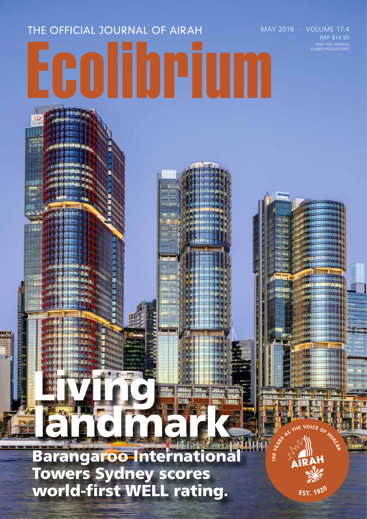# THE OFFICIAL JOURNAL OF AIRAH MAY 2018 · VOLUME 17.4 Ecolibrium

Barangaroo International Towers Sydney scores world-first WELL rating.

landmark of the state

Living.

EST. 1920

 $101$ CE  $_{\mathrm{O}_\mathcal{K}}$ 

YEMAN  $|00|$ 

PRINT POST APPROVAL NUMBER PP352532/00001

RRP \$14.95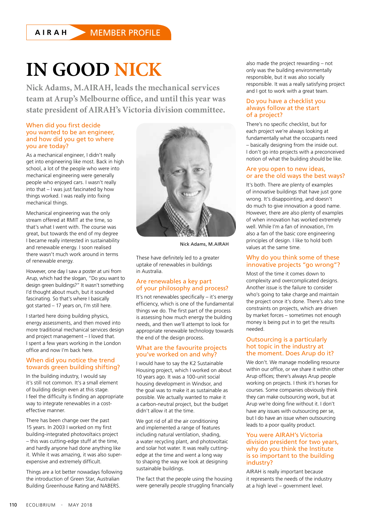# **IN GOOD NICK**

**Nick Adams, M.AIRAH, leads the mechanical services team at Arup's Melbourne office, and until this year was state president of AIRAH's Victoria division committee.**

#### When did you first decide you wanted to be an engineer, and how did you get to where you are today?

As a mechanical engineer, I didn't really get into engineering like most. Back in high school, a lot of the people who were into mechanical engineering were generally people who enjoyed cars. I wasn't really into that – I was just fascinated by how things worked. I was really into fixing mechanical things.

Mechanical engineering was the only stream offered at RMIT at the time, so that's what I went with. The course was great, but towards the end of my degree I became really interested in sustainability and renewable energy. I soon realised there wasn't much work around in terms of renewable energy.

However, one day I saw a poster at uni from Arup, which had the slogan, "Do you want to design green buildings?" It wasn't something I'd thought about much, but it sounded fascinating. So that's where I basically got started – 17 years on, I'm still here.

I started here doing building physics, energy assessments, and then moved into more traditional mechanical services design and project management – I loved that. I spent a few years working in the London office and now I'm back here.

# When did you notice the trend towards green building shifting?

In the building industry, I would say it's still not common. It's a small element of building design even at this stage. I feel the difficulty is finding an appropriate way to integrate renewables in a costeffective manner.

There has been change over the past 15 years. In 2003 I worked on my first building-integrated photovoltaics project – this was cutting-edge stuff at the time, and hardly anyone had done anything like it. While it was amazing, it was also superexpensive and extremely difficult.

Things are a lot better nowadays following the introduction of Green Star, Australian Building Greenhouse Rating and NABERS.



Nick Adams, M.AIRAH

These have definitely led to a greater uptake of renewables in buildings in Australia.

#### Are renewables a key part of your philosophy and process?

It's not renewables specifically – it's energy efficiency, which is one of the fundamental things we do. The first part of the process is assessing how much energy the building needs, and then we'll attempt to look for appropriate renewable technology towards the end of the design process.

#### What are the favourite projects you've worked on and why?

I would have to say the K2 Sustainable Housing project, which I worked on about 10 years ago. It was a 100-unit social housing development in Windsor, and the goal was to make it as sustainable as possible. We actually wanted to make it a carbon-neutral project, but the budget didn't allow it at the time.

We got rid of all the air conditioning and implemented a range of features including natural ventilation, shading, a water recycling plant, and photovoltaic and solar hot water. It was really cuttingedge at the time and went a long way to shaping the way we look at designing sustainable buildings.

The fact that the people using the housing were generally people struggling financially also made the project rewarding – not only was the building environmentally responsible, but it was also socially responsible. It was a really satisfying project and I got to work with a great team.

#### Do you have a checklist you always follow at the start of a project?

There's no specific checklist, but for each project we're always looking at fundamentally what the occupants need – basically designing from the inside out. I don't go into projects with a preconceived notion of what the building should be like.

#### Are you open to new ideas, or are the old ways the best ways?

It's both. There are plenty of examples of innovative buildings that have just gone wrong. It's disappointing, and doesn't do much to give innovation a good name. However, there are also plenty of examples of when innovation has worked extremely well. While I'm a fan of innovation, I'm also a fan of the basic core engineering principles of design. I like to hold both values at the same time.

# Why do you think some of these innovative projects "go wrong"?

Most of the time it comes down to complexity and overcomplicated designs. Another issue is the failure to consider who's going to take charge and maintain the project once it's done. There's also time constraints on projects, which are driven by market forces – sometimes not enough money is being put in to get the results needed.

#### Outsourcing is a particularly hot topic in the industry at the moment. Does Arup do it?

We don't. We manage modelling resource within our office, or we share it within other Arup offices; there's always Arup people working on projects. I think it's horses for courses. Some companies obviously think they can make outsourcing work, but at Arup we're doing fine without it. I don't have any issues with outsourcing per se, but I do have an issue when outsourcing leads to a poor quality product.

# You were AIRAH's Victoria division president for two years, why do you think the Institute is so important to the building industry?

AIRAH is really important because it represents the needs of the industry at a high level – government level.